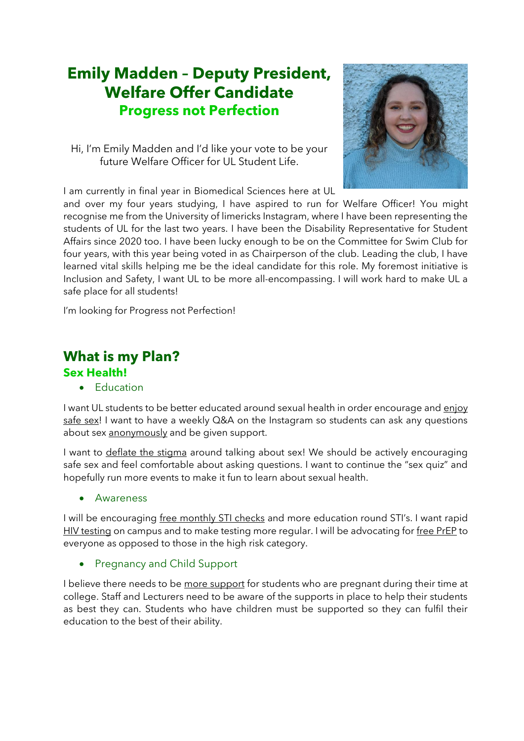# **Emily Madden – Deputy President, Welfare Offer Candidate Progress not Perfection**

Hi, I'm Emily Madden and I'd like your vote to be your future Welfare Officer for UL Student Life.



I am currently in final year in Biomedical Sciences here at UL

and over my four years studying, I have aspired to run for Welfare Officer! You might recognise me from the University of limericks Instagram, where I have been representing the students of UL for the last two years. I have been the Disability Representative for Student Affairs since 2020 too. I have been lucky enough to be on the Committee for Swim Club for four years, with this year being voted in as Chairperson of the club. Leading the club, I have learned vital skills helping me be the ideal candidate for this role. My foremost initiative is Inclusion and Safety, I want UL to be more all-encompassing. I will work hard to make UL a safe place for all students!

I'm looking for Progress not Perfection!

## **What is my Plan?**

#### **Sex Health!**

• Education

I want UL students to be better educated around sexual health in order encourage and enjoy safe sex! I want to have a weekly Q&A on the Instagram so students can ask any questions about sex anonymously and be given support.

I want to deflate the stigma around talking about sex! We should be actively encouraging safe sex and feel comfortable about asking questions. I want to continue the "sex quiz" and hopefully run more events to make it fun to learn about sexual health.

**Awareness** 

I will be encouraging free monthly STI checks and more education round STI's. I want rapid HIV testing on campus and to make testing more regular. I will be advocating for free PrEP to everyone as opposed to those in the high risk category.

• Pregnancy and Child Support

I believe there needs to be more support for students who are pregnant during their time at college. Staff and Lecturers need to be aware of the supports in place to help their students as best they can. Students who have children must be supported so they can fulfil their education to the best of their ability.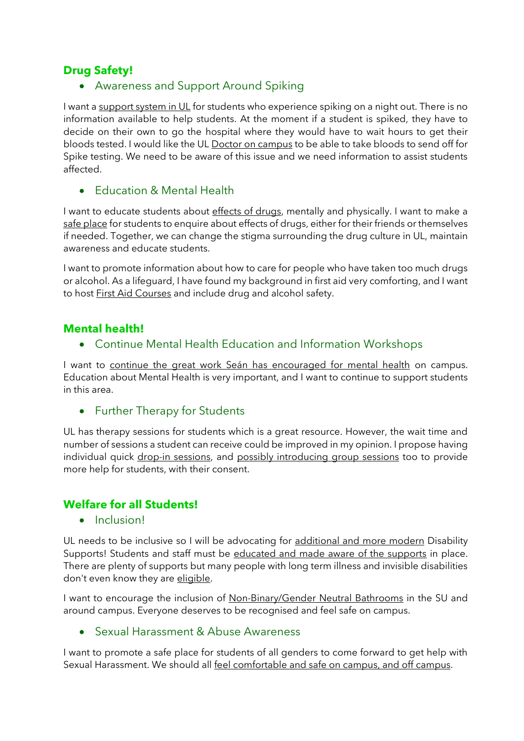### **Drug Safety!**

• Awareness and Support Around Spiking

I want a support system in UL for students who experience spiking on a night out. There is no information available to help students. At the moment if a student is spiked, they have to decide on their own to go the hospital where they would have to wait hours to get their bloods tested. I would like the UL Doctor on campus to be able to take bloods to send off for Spike testing. We need to be aware of this issue and we need information to assist students affected.

• Education & Mental Health

I want to educate students about effects of drugs, mentally and physically. I want to make a safe place for students to enquire about effects of drugs, either for their friends or themselves if needed. Together, we can change the stigma surrounding the drug culture in UL, maintain awareness and educate students.

I want to promote information about how to care for people who have taken too much drugs or alcohol. As a lifeguard, I have found my background in first aid very comforting, and I want to host First Aid Courses and include drug and alcohol safety.

#### **Mental health!**

• Continue Mental Health Education and Information Workshops

I want to continue the great work Seán has encouraged for mental health on campus. Education about Mental Health is very important, and I want to continue to support students in this area.

• Further Therapy for Students

UL has therapy sessions for students which is a great resource. However, the wait time and number of sessions a student can receive could be improved in my opinion. I propose having individual quick drop-in sessions, and possibly introducing group sessions too to provide more help for students, with their consent.

#### **Welfare for all Students!**

#### • Inclusion!

UL needs to be inclusive so I will be advocating for additional and more modern Disability Supports! Students and staff must be educated and made aware of the supports in place. There are plenty of supports but many people with long term illness and invisible disabilities don't even know they are eligible.

I want to encourage the inclusion of Non-Binary/Gender Neutral Bathrooms in the SU and around campus. Everyone deserves to be recognised and feel safe on campus.

#### • Sexual Harassment & Abuse Awareness

I want to promote a safe place for students of all genders to come forward to get help with Sexual Harassment. We should all feel comfortable and safe on campus, and off campus.